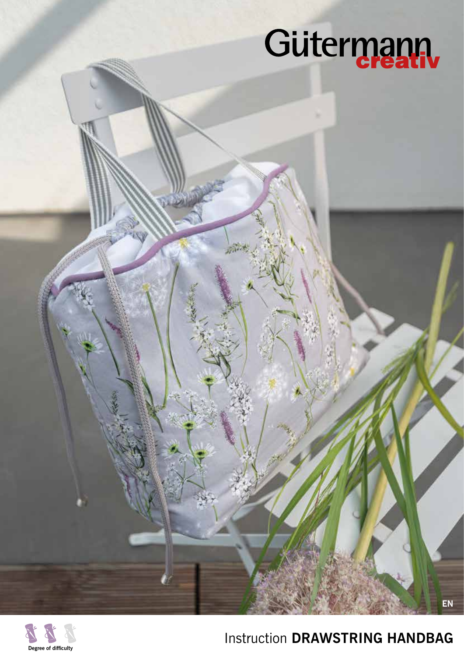# Gütermann



## Instruction **DRAWSTRING HANDBAG**

**EN**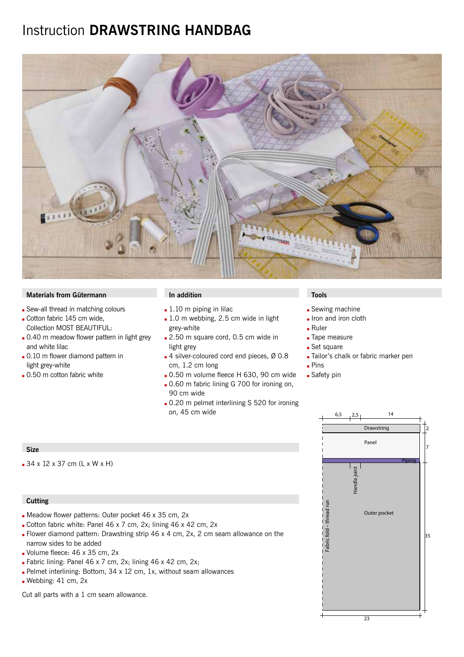### Instruction **DRAWSTRING HANDBAG**



#### **Materials from Gütermann In addition In addition In addition In the Installation In the Installation**

- Sew-all thread in matching colours
- Cotton fabric 145 cm wide, Collection MOST BEAUTIFUL:
- . 0.40 m meadow flower pattern in light grey and white lilac
- . 0.10 m flower diamond pattern in light grey-white
- $\Box$  0.50 m cotton fabric white

- $\blacksquare$  1.10 m piping in lilac
- $\blacksquare$  1.0 m webbing, 2.5 cm wide in light grey-white
- 2.50 m square cord, 0.5 cm wide in light grey
- $\blacksquare$  4 silver-coloured cord end pieces, Ø 0.8 cm, 1.2 cm long
- $\Box$  0.50 m volume fleece H 630, 90 cm wide
- **.** 0.60 m fabric lining G 700 for ironing on, 90 cm wide
- 0.20 m pelmet interlining S 520 for ironing on, 45 cm wide

- $\square$  Sewing machine
- Iron and iron cloth
- $Ruler$
- **Tape measure**
- Set square
- Tailor's chalk or fabric marker pen
- $\blacksquare$  Pins
- **Safety pin**

#### **Size**

 $-34 \times 12 \times 37$  cm (L x W x H)

#### **Cutting**

- Meadow flower patterns: Outer pocket 46 x 35 cm, 2x
- Cotton fabric white: Panel 46 x 7 cm, 2x; lining 46 x 42 cm, 2x
- Flower diamond pattern: Drawstring strip 46 x 4 cm, 2x, 2 cm seam allowance on the narrow sides to be added
- Volume fleece:  $46 \times 35$  cm,  $2x$
- **Fabric lining: Panel 46 x 7 cm, 2x; lining 46 x 42 cm, 2x;**
- Pelmet interlining: Bottom,  $34 \times 12$  cm, 1x, without seam allowances
- Webbing:  $41$  cm,  $2x$

Cut all parts with a 1 cm seam allowance.

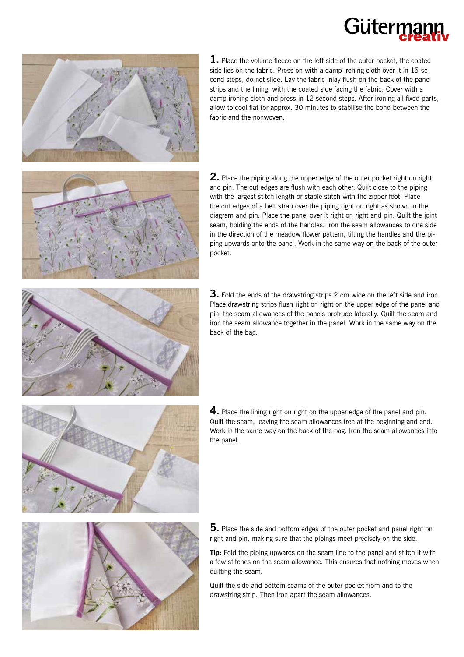# Güterr



**1.** Place the volume fleece on the left side of the outer pocket, the coated side lies on the fabric. Press on with a damp ironing cloth over it in 15-second steps, do not slide. Lay the fabric inlay flush on the back of the panel strips and the lining, with the coated side facing the fabric. Cover with a damp ironing cloth and press in 12 second steps. After ironing all fixed parts, allow to cool flat for approx. 30 minutes to stabilise the bond between the fabric and the nonwoven.



**2.** Place the piping along the upper edge of the outer pocket right on right and pin. The cut edges are flush with each other. Quilt close to the piping with the largest stitch length or staple stitch with the zipper foot. Place the cut edges of a belt strap over the piping right on right as shown in the diagram and pin. Place the panel over it right on right and pin. Quilt the joint seam, holding the ends of the handles. Iron the seam allowances to one side in the direction of the meadow flower pattern, tilting the handles and the piping upwards onto the panel. Work in the same way on the back of the outer pocket.



**3.** Fold the ends of the drawstring strips 2 cm wide on the left side and iron. Place drawstring strips flush right on right on the upper edge of the panel and pin; the seam allowances of the panels protrude laterally. Quilt the seam and iron the seam allowance together in the panel. Work in the same way on the back of the bag.



**4.** Place the lining right on right on the upper edge of the panel and pin. Quilt the seam, leaving the seam allowances free at the beginning and end. Work in the same way on the back of the bag. Iron the seam allowances into the panel.



**5.** Place the side and bottom edges of the outer pocket and panel right on right and pin, making sure that the pipings meet precisely on the side.

**Tip:** Fold the piping upwards on the seam line to the panel and stitch it with a few stitches on the seam allowance. This ensures that nothing moves when quilting the seam.

Quilt the side and bottom seams of the outer pocket from and to the drawstring strip. Then iron apart the seam allowances.